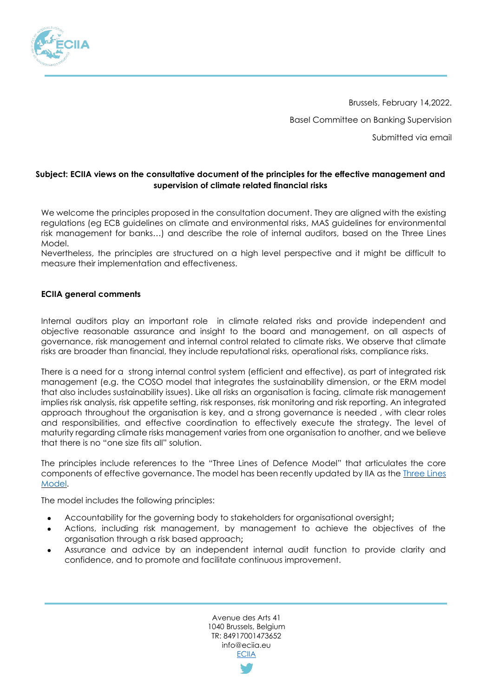

Brussels, February 14,2022. Basel Committee on Banking Supervision Submitted via email

## **Subject: ECIIA views on the consultative document of the principles for the effective management and supervision of climate related financial risks**

We welcome the principles proposed in the consultation document. They are aligned with the existing regulations (eg ECB guidelines on climate and environmental risks, MAS guidelines for environmental risk management for banks…) and describe the role of internal auditors, based on the Three Lines Model.

Nevertheless, the principles are structured on a high level perspective and it might be difficult to measure their implementation and effectiveness.

## **ECIIA general comments**

Internal auditors play an important role in climate related risks and provide independent and objective reasonable assurance and insight to the board and management, on all aspects of governance, risk management and internal control related to climate risks. We observe that climate risks are broader than financial, they include reputational risks, operational risks, compliance risks.

There is a need for a strong internal control system (efficient and effective), as part of integrated risk management (e.g. the COSO model that integrates the sustainability dimension, or the ERM model that also includes sustainability issues). Like all risks an organisation is facing, climate risk management implies risk analysis, risk appetite setting, risk responses, risk monitoring and risk reporting. An integrated approach throughout the organisation is key, and a strong governance is needed , with clear roles and responsibilities, and effective coordination to effectively execute the strategy. The level of maturity regarding climate risks management varies from one organisation to another, and we believe that there is no "one size fits all" solution.

The principles include references to the "Three Lines of Defence Model" that articulates the core components of effective governance. The model has been recently updated by IIA as the [Three Lines](https://na.theiia.org/about-ia/PublicDocuments/Three-Lines-Model-Updated.pdf)  [Model.](https://na.theiia.org/about-ia/PublicDocuments/Three-Lines-Model-Updated.pdf)

The model includes the following principles:

- ⚫ Accountability for the governing body to stakeholders for organisational oversight;
- ⚫ Actions, including risk management, by management to achieve the objectives of the organisation through a risk based approach;
- ⚫ Assurance and advice by an independent internal audit function to provide clarity and confidence, and to promote and facilitate continuous improvement.

Avenue des Arts 41 1040 Brussels, Belgium TR: 84917001473652 info@eciia.eu **[ECIIA](http://www.eciia.eu/)**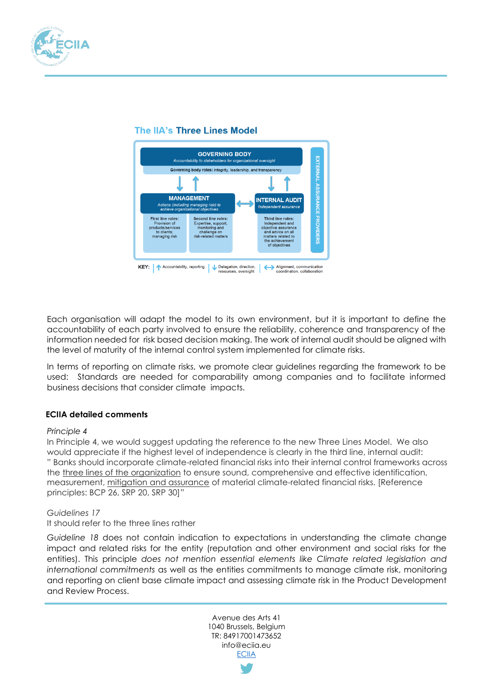

# The IIA's Three Lines Model



Each organisation will adapt the model to its own environment, but it is important to define the accountability of each party involved to ensure the reliability, coherence and transparency of the information needed for risk based decision making. The work of internal audit should be aligned with the level of maturity of the internal control system implemented for climate risks.

In terms of reporting on climate risks, we promote clear guidelines regarding the framework to be used: Standards are needed for comparability among companies and to facilitate informed business decisions that consider climate impacts.

# **ECIIA detailed comments**

#### *Principle 4*

In Principle 4, we would suggest updating the reference to the new Three Lines Model. We also would appreciate if the highest level of independence is clearly in the third line, internal audit: " Banks should incorporate climate-related financial risks into their internal control frameworks across the three lines of the organization to ensure sound, comprehensive and effective identification, measurement, mitigation and assurance of material climate-related financial risks. [Reference principles: BCP 26, SRP 20, SRP 30]"

#### *Guidelines 17*

#### It should refer to the three lines rather

*Guideline 18* does not contain indication to expectations in understanding the climate change impact and related risks for the entity (reputation and other environment and social risks for the entities). This principle *does not mention essential elements like Climate related legislation and international commitments* as well as the entities commitments to manage climate risk, monitoring and reporting on client base climate impact and assessing climate risk in the Product Development and Review Process.

> Avenue des Arts 41 1040 Brussels, Belgium TR: 84917001473652 info@eciia.eu **[ECIIA](http://www.eciia.eu/)**